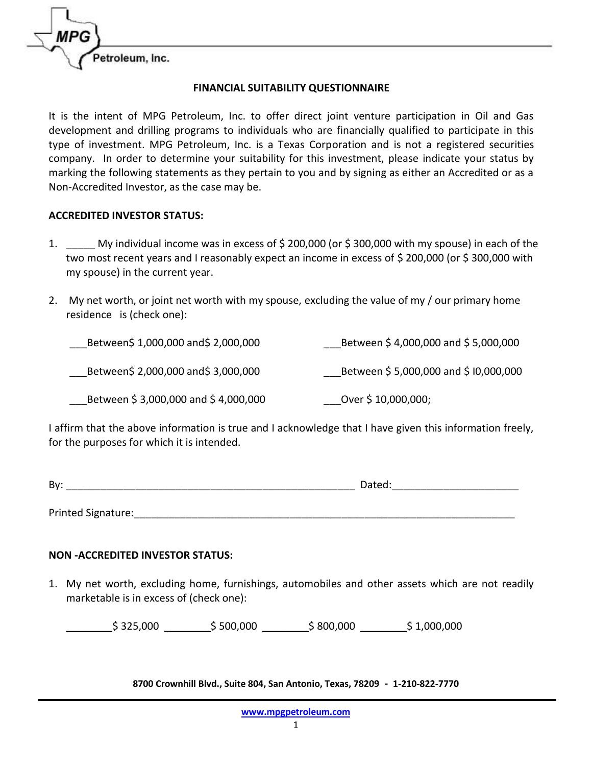

## **FINANCIAL SUITABILITY QUESTIONNAIRE**

It is the intent of MPG Petroleum, Inc. to offer direct joint venture participation in Oil and Gas development and drilling programs to individuals who are financially qualified to participate in this type of investment. MPG Petroleum, Inc. is a Texas Corporation and is not a registered securities company. In order to determine your suitability for this investment, please indicate your status by marking the following statements as they pertain to you and by signing as either an Accredited or as a Non-Accredited Investor, as the case may be.

## **ACCREDITED INVESTOR STATUS:**

- 1. \_\_\_\_\_ My individual income was in excess of \$ 200,000 (or \$ 300,000 with my spouse) in each of the two most recent years and I reasonably expect an income in excess of \$ 200,000 (or \$ 300,000 with my spouse) in the current year.
- 2. My net worth, or joint net worth with my spouse, excluding the value of my / our primary home residence is (check one):

| Between\$ 1,000,000 and\$ 2,000,000 | Between \$4,000,000 and \$5,000,000  |
|-------------------------------------|--------------------------------------|
| Between\$ 2,000,000 and\$ 3,000,000 | Between \$5,000,000 and \$10,000,000 |
| Between \$3,000,000 and \$4,000,000 | Over \$10,000,000;                   |

I affirm that the above information is true and I acknowledge that I have given this information freely, for the purposes for which it is intended.

| By:<br>.<br>$   -$ |
|--------------------|
|--------------------|

Printed Signature:  $\blacksquare$ 

## **NON -ACCREDITED INVESTOR STATUS:**

1. My net worth, excluding home, furnishings, automobiles and other assets which are not readily marketable is in excess of (check one):

 $\frac{1}{2}$ \$ 325,000  $\frac{1}{2}$ \$ 500,000  $\frac{1}{2}$ \$ 800,000  $\frac{1}{2}$ \$ 1,000,000

**8700 Crownhill Blvd., Suite 804, San Antonio, Texas, 78209 - 1-210-822-7770**